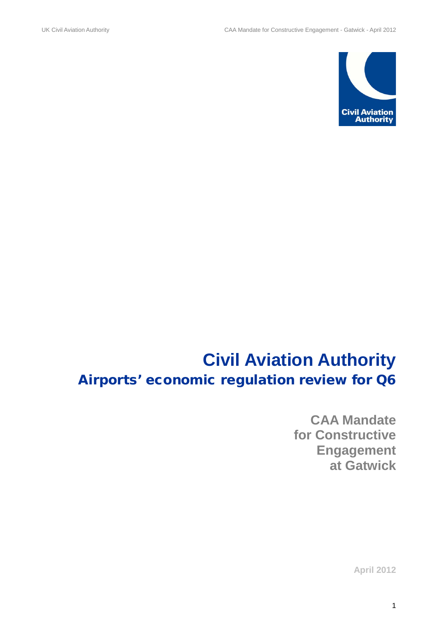

# **Civil Aviation Authority** Airports' economic regulation review for Q6

**CAA Mandate for Constructive Engagement at Gatwick** 

**April 2012**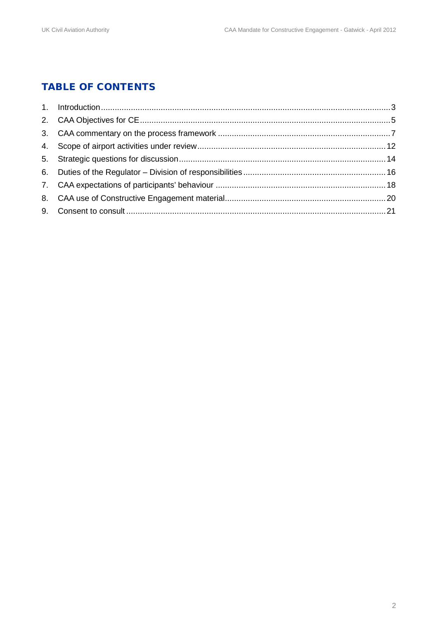## TABLE OF CONTENTS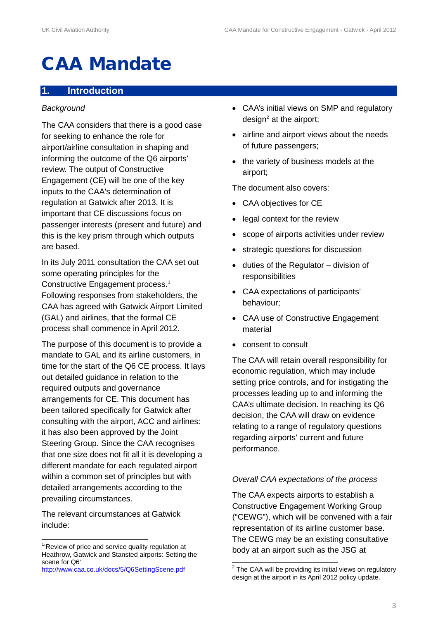# CAA Mandate

#### **1. Introduction**

#### *Background*

The CAA considers that there is a good case for seeking to enhance the role for airport/airline consultation in shaping and informing the outcome of the Q6 airports' review. The output of Constructive Engagement (CE) will be one of the key inputs to the CAA's determination of regulation at Gatwick after 2013. It is important that CE discussions focus on passenger interests (present and future) and this is the key prism through which outputs are based.

In its July 2011 consultation the CAA set out some operating principles for the Constructive Engagement process.<sup>[1](#page-2-0)</sup> Following responses from stakeholders, the CAA has agreed with Gatwick Airport Limited (GAL) and airlines, that the formal CE process shall commence in April 2012.

The purpose of this document is to provide a mandate to GAL and its airline customers, in time for the start of the Q6 CE process. It lays out detailed guidance in relation to the required outputs and governance arrangements for CE. This document has been tailored specifically for Gatwick after consulting with the airport, ACC and airlines: it has also been approved by the Joint Steering Group. Since the CAA recognises that one size does not fit all it is developing a different mandate for each regulated airport within a common set of principles but with detailed arrangements according to the prevailing circumstances.

The relevant circumstances at Gatwick include:

- CAA's initial views on SMP and regulatory  $design<sup>2</sup>$  $design<sup>2</sup>$  $design<sup>2</sup>$  at the airport;
- airline and airport views about the needs of future passengers;
- the variety of business models at the airport;

The document also covers:

- CAA objectives for CE
- legal context for the review
- scope of airports activities under review
- strategic questions for discussion
- duties of the Regulator division of responsibilities
- CAA expectations of participants' behaviour;
- CAA use of Constructive Engagement material
- consent to consult

The CAA will retain overall responsibility for economic regulation, which may include setting price controls, and for instigating the processes leading up to and informing the CAA's ultimate decision. In reaching its Q6 decision, the CAA will draw on evidence relating to a range of regulatory questions regarding airports' current and future performance.

#### *Overall CAA expectations of the process*

The CAA expects airports to establish a Constructive Engagement Working Group ("CEWG"), which will be convened with a fair representation of its airline customer base. The CEWG may be an existing consultative body at an airport such as the JSG at

<span id="page-2-0"></span>1 'Review of price and service quality regulation at Heathrow, Gatwick and Stansted airports: Setting the scene for Q6'

<span id="page-2-1"></span><http://www.caa.co.uk/docs/5/Q6SettingScene.pdf>

 $2$  The CAA will be providing its initial views on regulatory design at the airport in its April 2012 policy update.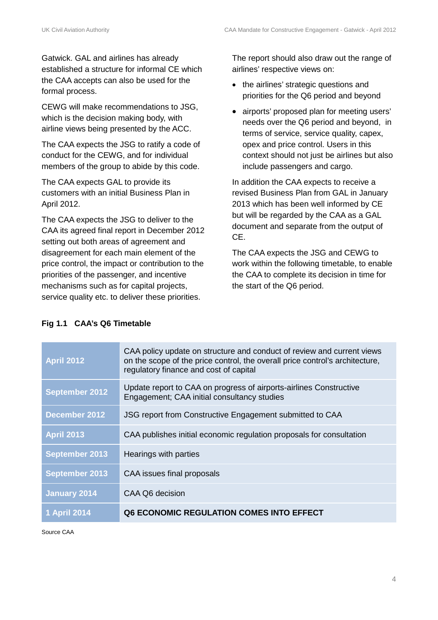Gatwick. GAL and airlines has already established a structure for informal CE which the CAA accepts can also be used for the formal process.

CEWG will make recommendations to JSG, which is the decision making body, with airline views being presented by the ACC.

The CAA expects the JSG to ratify a code of conduct for the CEWG, and for individual members of the group to abide by this code.

The CAA expects GAL to provide its customers with an initial Business Plan in April 2012.

The CAA expects the JSG to deliver to the CAA its agreed final report in December 2012 setting out both areas of agreement and disagreement for each main element of the price control, the impact or contribution to the priorities of the passenger, and incentive mechanisms such as for capital projects, service quality etc. to deliver these priorities.

The report should also draw out the range of airlines' respective views on:

- the airlines' strategic questions and priorities for the Q6 period and beyond
- airports' proposed plan for meeting users' needs over the Q6 period and beyond, in terms of service, service quality, capex, opex and price control. Users in this context should not just be airlines but also include passengers and cargo.

In addition the CAA expects to receive a revised Business Plan from GAL in January 2013 which has been well informed by CE but will be regarded by the CAA as a GAL document and separate from the output of CE.

The CAA expects the JSG and CEWG to work within the following timetable, to enable the CAA to complete its decision in time for the start of the Q6 period.

#### **Fig 1.1 CAA's Q6 Timetable**

| <b>April 2012</b>     | CAA policy update on structure and conduct of review and current views<br>on the scope of the price control, the overall price control's architecture,<br>regulatory finance and cost of capital |
|-----------------------|--------------------------------------------------------------------------------------------------------------------------------------------------------------------------------------------------|
| September 2012        | Update report to CAA on progress of airports-airlines Constructive<br>Engagement; CAA initial consultancy studies                                                                                |
| December 2012         | JSG report from Constructive Engagement submitted to CAA                                                                                                                                         |
| <b>April 2013</b>     | CAA publishes initial economic regulation proposals for consultation                                                                                                                             |
| <b>September 2013</b> | Hearings with parties                                                                                                                                                                            |
| <b>September 2013</b> | CAA issues final proposals                                                                                                                                                                       |
| <b>January 2014</b>   | CAA Q6 decision                                                                                                                                                                                  |
| <b>1 April 2014</b>   | Q6 ECONOMIC REGULATION COMES INTO EFFECT                                                                                                                                                         |

Source CAA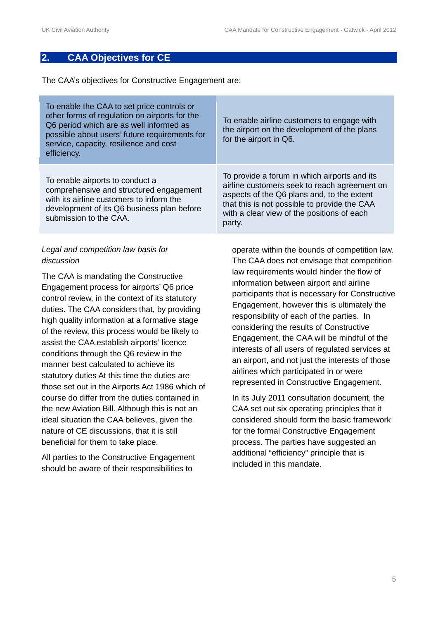#### **2. CAA Objectives for CE**

The CAA's objectives for Constructive Engagement are:

| To enable the CAA to set price controls or<br>other forms of regulation on airports for the<br>Q6 period which are as well informed as<br>possible about users' future requirements for<br>service, capacity, resilience and cost<br>efficiency. | To enable airline customers to engage with<br>the airport on the development of the plans<br>for the airport in Q6.                                                                                                                                |
|--------------------------------------------------------------------------------------------------------------------------------------------------------------------------------------------------------------------------------------------------|----------------------------------------------------------------------------------------------------------------------------------------------------------------------------------------------------------------------------------------------------|
| To enable airports to conduct a<br>comprehensive and structured engagement<br>with its airline customers to inform the<br>development of its Q6 business plan before<br>submission to the CAA.                                                   | To provide a forum in which airports and its<br>airline customers seek to reach agreement on<br>aspects of the Q6 plans and, to the extent<br>that this is not possible to provide the CAA<br>with a clear view of the positions of each<br>party. |

#### *Legal and competition law basis for discussion*

The CAA is mandating the Constructive Engagement process for airports' Q6 price control review, in the context of its statutory duties. The CAA considers that, by providing high quality information at a formative stage of the review, this process would be likely to assist the CAA establish airports' licence conditions through the Q6 review in the manner best calculated to achieve its statutory duties At this time the duties are those set out in the Airports Act 1986 which of course do differ from the duties contained in the new Aviation Bill. Although this is not an ideal situation the CAA believes, given the nature of CE discussions, that it is still beneficial for them to take place.

All parties to the Constructive Engagement should be aware of their responsibilities to

operate within the bounds of competition law. The CAA does not envisage that competition law requirements would hinder the flow of information between airport and airline participants that is necessary for Constructive Engagement, however this is ultimately the responsibility of each of the parties. In considering the results of Constructive Engagement, the CAA will be mindful of the interests of all users of regulated services at an airport, and not just the interests of those airlines which participated in or were represented in Constructive Engagement.

In its July 2011 consultation document, the CAA set out six operating principles that it considered should form the basic framework for the formal Constructive Engagement process. The parties have suggested an additional "efficiency" principle that is included in this mandate.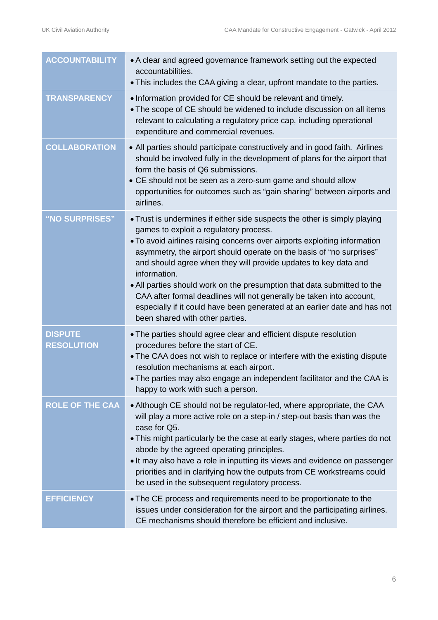| <b>ACCOUNTABILITY</b>               | • A clear and agreed governance framework setting out the expected<br>accountabilities.<br>• This includes the CAA giving a clear, upfront mandate to the parties.                                                                                                                                                                                                                                                                                                                                                                                                                                                             |
|-------------------------------------|--------------------------------------------------------------------------------------------------------------------------------------------------------------------------------------------------------------------------------------------------------------------------------------------------------------------------------------------------------------------------------------------------------------------------------------------------------------------------------------------------------------------------------------------------------------------------------------------------------------------------------|
| <b>TRANSPARENCY</b>                 | . Information provided for CE should be relevant and timely.<br>• The scope of CE should be widened to include discussion on all items<br>relevant to calculating a regulatory price cap, including operational<br>expenditure and commercial revenues.                                                                                                                                                                                                                                                                                                                                                                        |
| <b>COLLABORATION</b>                | • All parties should participate constructively and in good faith. Airlines<br>should be involved fully in the development of plans for the airport that<br>form the basis of Q6 submissions.<br>• CE should not be seen as a zero-sum game and should allow<br>opportunities for outcomes such as "gain sharing" between airports and<br>airlines.                                                                                                                                                                                                                                                                            |
| "NO SURPRISES"                      | • Trust is undermines if either side suspects the other is simply playing<br>games to exploit a regulatory process.<br>• To avoid airlines raising concerns over airports exploiting information<br>asymmetry, the airport should operate on the basis of "no surprises"<br>and should agree when they will provide updates to key data and<br>information.<br>• All parties should work on the presumption that data submitted to the<br>CAA after formal deadlines will not generally be taken into account,<br>especially if it could have been generated at an earlier date and has not<br>been shared with other parties. |
| <b>DISPUTE</b><br><b>RESOLUTION</b> | • The parties should agree clear and efficient dispute resolution<br>procedures before the start of CE.<br>. The CAA does not wish to replace or interfere with the existing dispute<br>resolution mechanisms at each airport.<br>. The parties may also engage an independent facilitator and the CAA is<br>happy to work with such a person.                                                                                                                                                                                                                                                                                 |
| <b>ROLE OF THE CAA</b>              | • Although CE should not be regulator-led, where appropriate, the CAA<br>will play a more active role on a step-in / step-out basis than was the<br>case for Q5.<br>• This might particularly be the case at early stages, where parties do not<br>abode by the agreed operating principles.<br>• It may also have a role in inputting its views and evidence on passenger<br>priorities and in clarifying how the outputs from CE workstreams could<br>be used in the subsequent regulatory process.                                                                                                                          |
| <b>EFFICIENCY</b>                   | • The CE process and requirements need to be proportionate to the<br>issues under consideration for the airport and the participating airlines.<br>CE mechanisms should therefore be efficient and inclusive.                                                                                                                                                                                                                                                                                                                                                                                                                  |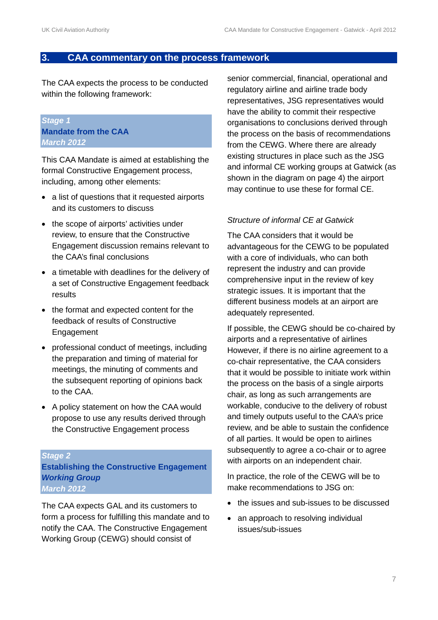#### **3. CAA commentary on the process framework**

The CAA expects the process to be conducted within the following framework:

#### *Stage 1* **Mandate from the CAA** *March 2012*

This CAA Mandate is aimed at establishing the formal Constructive Engagement process, including, among other elements:

- a list of questions that it requested airports and its customers to discuss
- the scope of airports' activities under review, to ensure that the Constructive Engagement discussion remains relevant to the CAA's final conclusions
- a timetable with deadlines for the delivery of a set of Constructive Engagement feedback results
- the format and expected content for the feedback of results of Constructive Engagement
- professional conduct of meetings, including the preparation and timing of material for meetings, the minuting of comments and the subsequent reporting of opinions back to the CAA.
- A policy statement on how the CAA would propose to use any results derived through the Constructive Engagement process

#### *Stage 2*

**Establishing the Constructive Engagement**  *Working Group March 2012*

The CAA expects GAL and its customers to form a process for fulfilling this mandate and to notify the CAA. The Constructive Engagement Working Group (CEWG) should consist of

senior commercial, financial, operational and regulatory airline and airline trade body representatives, JSG representatives would have the ability to commit their respective organisations to conclusions derived through the process on the basis of recommendations from the CEWG. Where there are already existing structures in place such as the JSG and informal CE working groups at Gatwick (as shown in the diagram on page 4) the airport may continue to use these for formal CE.

#### *Structure of informal CE at Gatwick*

The CAA considers that it would be advantageous for the CEWG to be populated with a core of individuals, who can both represent the industry and can provide comprehensive input in the review of key strategic issues. It is important that the different business models at an airport are adequately represented.

If possible, the CEWG should be co-chaired by airports and a representative of airlines However, if there is no airline agreement to a co-chair representative, the CAA considers that it would be possible to initiate work within the process on the basis of a single airports chair, as long as such arrangements are workable, conducive to the delivery of robust and timely outputs useful to the CAA's price review, and be able to sustain the confidence of all parties. It would be open to airlines subsequently to agree a co-chair or to agree with airports on an independent chair.

In practice, the role of the CEWG will be to make recommendations to JSG on:

- the issues and sub-issues to be discussed
- an approach to resolving individual issues/sub-issues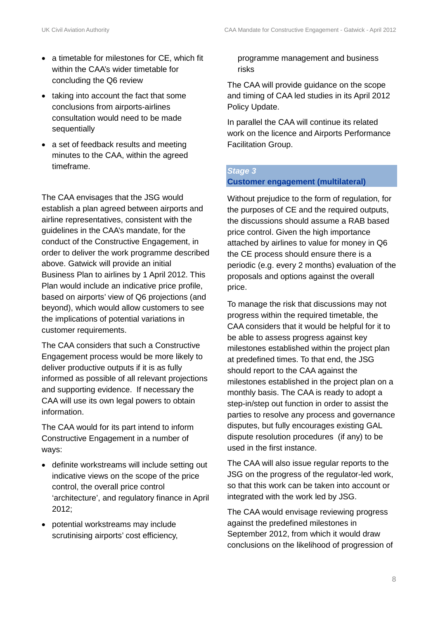- a timetable for milestones for CE, which fit within the CAA's wider timetable for concluding the Q6 review
- taking into account the fact that some conclusions from airports-airlines consultation would need to be made sequentially
- a set of feedback results and meeting minutes to the CAA, within the agreed timeframe.

The CAA envisages that the JSG would establish a plan agreed between airports and airline representatives, consistent with the guidelines in the CAA's mandate, for the conduct of the Constructive Engagement, in order to deliver the work programme described above. Gatwick will provide an initial Business Plan to airlines by 1 April 2012. This Plan would include an indicative price profile, based on airports' view of Q6 projections (and beyond), which would allow customers to see the implications of potential variations in customer requirements.

The CAA considers that such a Constructive Engagement process would be more likely to deliver productive outputs if it is as fully informed as possible of all relevant projections and supporting evidence. If necessary the CAA will use its own legal powers to obtain information.

The CAA would for its part intend to inform Constructive Engagement in a number of ways:

- definite workstreams will include setting out indicative views on the scope of the price control, the overall price control 'architecture', and regulatory finance in April 2012;
- potential workstreams may include scrutinising airports' cost efficiency,

#### programme management and business risks

The CAA will provide guidance on the scope and timing of CAA led studies in its April 2012 Policy Update.

In parallel the CAA will continue its related work on the licence and Airports Performance Facilitation Group.

### *Stage 3* **Customer engagement (multilateral)**

Without prejudice to the form of regulation, for the purposes of CE and the required outputs, the discussions should assume a RAB based price control. Given the high importance attached by airlines to value for money in Q6 the CE process should ensure there is a periodic (e.g. every 2 months) evaluation of the proposals and options against the overall price.

To manage the risk that discussions may not progress within the required timetable, the CAA considers that it would be helpful for it to be able to assess progress against key milestones established within the project plan at predefined times. To that end, the JSG should report to the CAA against the milestones established in the project plan on a monthly basis. The CAA is ready to adopt a step-in/step out function in order to assist the parties to resolve any process and governance disputes, but fully encourages existing GAL dispute resolution procedures (if any) to be used in the first instance.

The CAA will also issue regular reports to the JSG on the progress of the regulator-led work, so that this work can be taken into account or integrated with the work led by JSG.

The CAA would envisage reviewing progress against the predefined milestones in September 2012, from which it would draw conclusions on the likelihood of progression of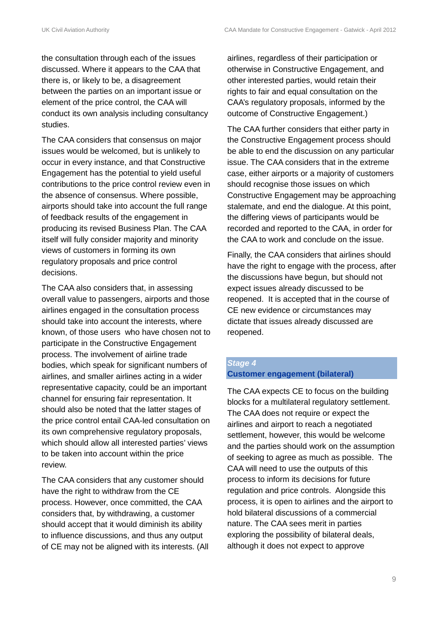the consultation through each of the issues discussed. Where it appears to the CAA that there is, or likely to be, a disagreement between the parties on an important issue or element of the price control, the CAA will conduct its own analysis including consultancy studies.

The CAA considers that consensus on major issues would be welcomed, but is unlikely to occur in every instance, and that Constructive Engagement has the potential to yield useful contributions to the price control review even in the absence of consensus. Where possible, airports should take into account the full range of feedback results of the engagement in producing its revised Business Plan. The CAA itself will fully consider majority and minority views of customers in forming its own regulatory proposals and price control decisions.

The CAA also considers that, in assessing overall value to passengers, airports and those airlines engaged in the consultation process should take into account the interests, where known, of those users who have chosen not to participate in the Constructive Engagement process. The involvement of airline trade bodies, which speak for significant numbers of airlines, and smaller airlines acting in a wider representative capacity, could be an important channel for ensuring fair representation. It should also be noted that the latter stages of the price control entail CAA-led consultation on its own comprehensive regulatory proposals, which should allow all interested parties' views to be taken into account within the price review.

The CAA considers that any customer should have the right to withdraw from the CE process. However, once committed, the CAA considers that, by withdrawing, a customer should accept that it would diminish its ability to influence discussions, and thus any output of CE may not be aligned with its interests. (All

airlines, regardless of their participation or otherwise in Constructive Engagement, and other interested parties, would retain their rights to fair and equal consultation on the CAA's regulatory proposals, informed by the outcome of Constructive Engagement.)

The CAA further considers that either party in the Constructive Engagement process should be able to end the discussion on any particular issue. The CAA considers that in the extreme case, either airports or a majority of customers should recognise those issues on which Constructive Engagement may be approaching stalemate, and end the dialogue. At this point, the differing views of participants would be recorded and reported to the CAA, in order for the CAA to work and conclude on the issue.

Finally, the CAA considers that airlines should have the right to engage with the process, after the discussions have begun, but should not expect issues already discussed to be reopened. It is accepted that in the course of CE new evidence or circumstances may dictate that issues already discussed are reopened.

#### *Stage 4* **Customer engagement (bilateral)**

The CAA expects CE to focus on the building blocks for a multilateral regulatory settlement. The CAA does not require or expect the airlines and airport to reach a negotiated settlement, however, this would be welcome and the parties should work on the assumption of seeking to agree as much as possible. The CAA will need to use the outputs of this process to inform its decisions for future regulation and price controls. Alongside this process, it is open to airlines and the airport to hold bilateral discussions of a commercial nature. The CAA sees merit in parties exploring the possibility of bilateral deals, although it does not expect to approve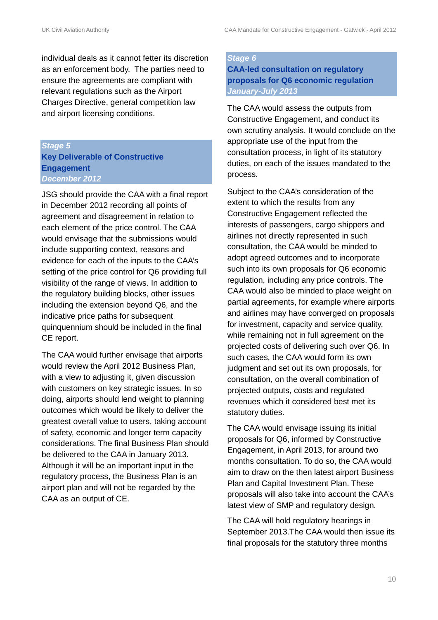individual deals as it cannot fetter its discretion as an enforcement body. The parties need to ensure the agreements are compliant with relevant regulations such as the Airport Charges Directive, general competition law and airport licensing conditions.

#### *Stage 5*

#### **Key Deliverable of Constructive Engagement** *December 2012*

JSG should provide the CAA with a final report in December 2012 recording all points of agreement and disagreement in relation to each element of the price control. The CAA would envisage that the submissions would include supporting context, reasons and evidence for each of the inputs to the CAA's setting of the price control for Q6 providing full visibility of the range of views. In addition to the regulatory building blocks, other issues including the extension beyond Q6, and the indicative price paths for subsequent quinquennium should be included in the final CE report.

The CAA would further envisage that airports would review the April 2012 Business Plan, with a view to adjusting it, given discussion with customers on key strategic issues. In so doing, airports should lend weight to planning outcomes which would be likely to deliver the greatest overall value to users, taking account of safety, economic and longer term capacity considerations. The final Business Plan should be delivered to the CAA in January 2013. Although it will be an important input in the regulatory process, the Business Plan is an airport plan and will not be regarded by the CAA as an output of CE.

#### *Stage 6*

**CAA-led consultation on regulatory proposals for Q6 economic regulation** *January-July 2013*

The CAA would assess the outputs from Constructive Engagement, and conduct its own scrutiny analysis. It would conclude on the appropriate use of the input from the consultation process, in light of its statutory duties, on each of the issues mandated to the process.

Subject to the CAA's consideration of the extent to which the results from any Constructive Engagement reflected the interests of passengers, cargo shippers and airlines not directly represented in such consultation, the CAA would be minded to adopt agreed outcomes and to incorporate such into its own proposals for Q6 economic regulation, including any price controls. The CAA would also be minded to place weight on partial agreements, for example where airports and airlines may have converged on proposals for investment, capacity and service quality, while remaining not in full agreement on the projected costs of delivering such over Q6. In such cases, the CAA would form its own judgment and set out its own proposals, for consultation, on the overall combination of projected outputs, costs and regulated revenues which it considered best met its statutory duties.

The CAA would envisage issuing its initial proposals for Q6, informed by Constructive Engagement, in April 2013, for around two months consultation. To do so, the CAA would aim to draw on the then latest airport Business Plan and Capital Investment Plan. These proposals will also take into account the CAA's latest view of SMP and regulatory design.

The CAA will hold regulatory hearings in September 2013.The CAA would then issue its final proposals for the statutory three months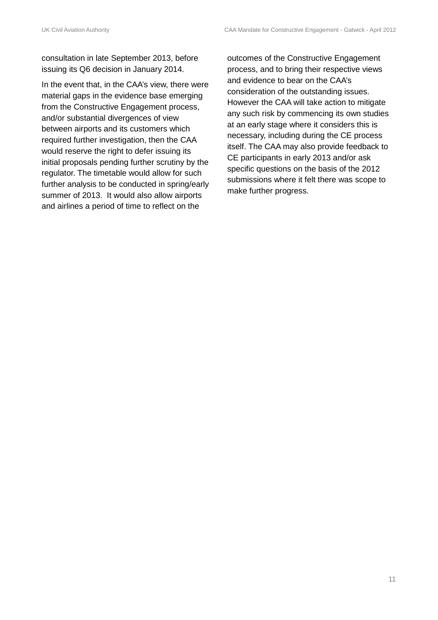consultation in late September 2013, before issuing its Q6 decision in January 2014.

In the event that, in the CAA's view, there were material gaps in the evidence base emerging from the Constructive Engagement process, and/or substantial divergences of view between airports and its customers which required further investigation, then the CAA would reserve the right to defer issuing its initial proposals pending further scrutiny by the regulator. The timetable would allow for such further analysis to be conducted in spring/early summer of 2013. It would also allow airports and airlines a period of time to reflect on the

outcomes of the Constructive Engagement process, and to bring their respective views and evidence to bear on the CAA's consideration of the outstanding issues. However the CAA will take action to mitigate any such risk by commencing its own studies at an early stage where it considers this is necessary, including during the CE process itself. The CAA may also provide feedback to CE participants in early 2013 and/or ask specific questions on the basis of the 2012 submissions where it felt there was scope to make further progress.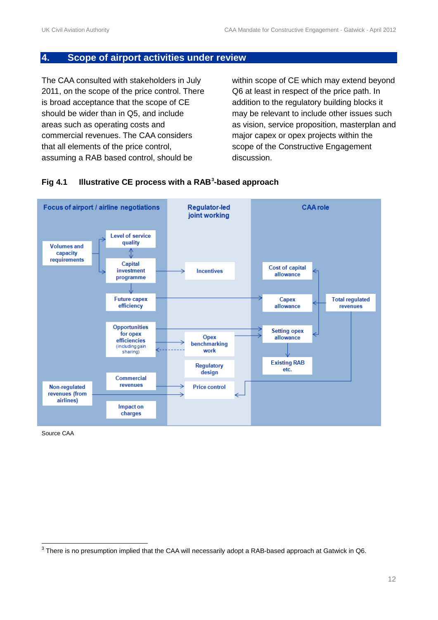#### **4. Scope of airport activities under review**

The CAA consulted with stakeholders in July 2011, on the scope of the price control. There is broad acceptance that the scope of CE should be wider than in Q5, and include areas such as operating costs and commercial revenues. The CAA considers that all elements of the price control, assuming a RAB based control, should be

within scope of CE which may extend beyond Q6 at least in respect of the price path. In addition to the regulatory building blocks it may be relevant to include other issues such as vision, service proposition, masterplan and major capex or opex projects within the scope of the Constructive Engagement discussion.



#### **Fig 4.1 Illustrative CE process with a RAB[3](#page-11-0) -based approach**

Source CAA

<span id="page-11-0"></span><sup>&</sup>lt;sup>3</sup> There is no presumption implied that the CAA will necessarily adopt a RAB-based approach at Gatwick in Q6.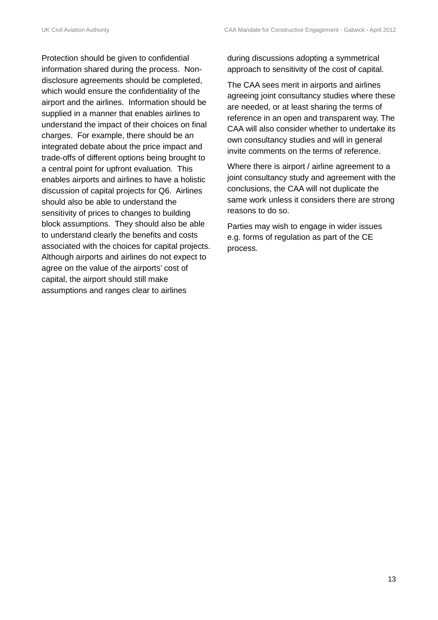Protection should be given to confidential information shared during the process. Nondisclosure agreements should be completed, which would ensure the confidentiality of the airport and the airlines. Information should be supplied in a manner that enables airlines to understand the impact of their choices on final charges. For example, there should be an integrated debate about the price impact and trade-offs of different options being brought to a central point for upfront evaluation. This enables airports and airlines to have a holistic discussion of capital projects for Q6. Airlines should also be able to understand the sensitivity of prices to changes to building block assumptions. They should also be able to understand clearly the benefits and costs associated with the choices for capital projects. Although airports and airlines do not expect to agree on the value of the airports' cost of capital, the airport should still make assumptions and ranges clear to airlines

during discussions adopting a symmetrical approach to sensitivity of the cost of capital.

The CAA sees merit in airports and airlines agreeing joint consultancy studies where these are needed, or at least sharing the terms of reference in an open and transparent way. The CAA will also consider whether to undertake its own consultancy studies and will in general invite comments on the terms of reference.

Where there is airport / airline agreement to a joint consultancy study and agreement with the conclusions, the CAA will not duplicate the same work unless it considers there are strong reasons to do so.

Parties may wish to engage in wider issues e.g. forms of regulation as part of the CE process.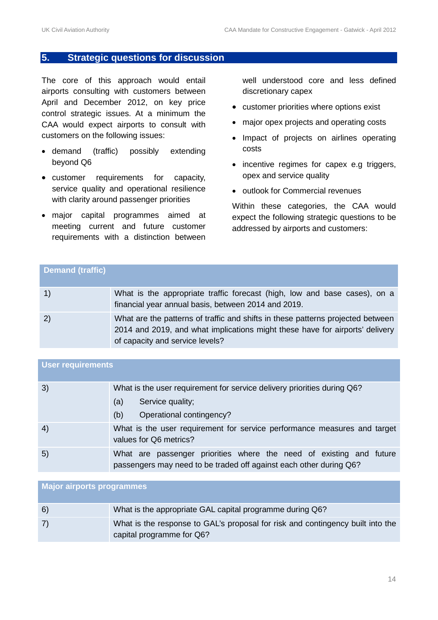#### **5. Strategic questions for discussion**

The core of this approach would entail airports consulting with customers between April and December 2012, on key price control strategic issues. At a minimum the CAA would expect airports to consult with customers on the following issues:

- demand (traffic) possibly extending beyond Q6
- customer requirements for capacity, service quality and operational resilience with clarity around passenger priorities
- major capital programmes aimed at meeting current and future customer requirements with a distinction between

well understood core and less defined discretionary capex

- customer priorities where options exist
- major opex projects and operating costs
- Impact of projects on airlines operating costs
- incentive regimes for capex e.g triggers, opex and service quality
- outlook for Commercial revenues

Within these categories, the CAA would expect the following strategic questions to be addressed by airports and customers:

| <b>Demand (traffic)</b>                        |                                                                                                                                                                                                    |
|------------------------------------------------|----------------------------------------------------------------------------------------------------------------------------------------------------------------------------------------------------|
| $\left( \begin{matrix} 1 \end{matrix} \right)$ | What is the appropriate traffic forecast (high, low and base cases), on a<br>financial year annual basis, between 2014 and 2019.                                                                   |
| 2)                                             | What are the patterns of traffic and shifts in these patterns projected between<br>2014 and 2019, and what implications might these have for airports' delivery<br>of capacity and service levels? |

| <b>User requirements</b> |                                                                                                                                           |
|--------------------------|-------------------------------------------------------------------------------------------------------------------------------------------|
| 3)                       | What is the user requirement for service delivery priorities during Q6?<br>Service quality;<br>(a)<br>Operational contingency?<br>(b)     |
| 4)                       | What is the user requirement for service performance measures and target<br>values for Q6 metrics?                                        |
| 5)                       | What are passenger priorities where the need of existing and future<br>passengers may need to be traded off against each other during Q6? |

## **Major airports programmes** 6) What is the appropriate GAL capital programme during Q6? 7) What is the response to GAL's proposal for risk and contingency built into the capital programme for Q6?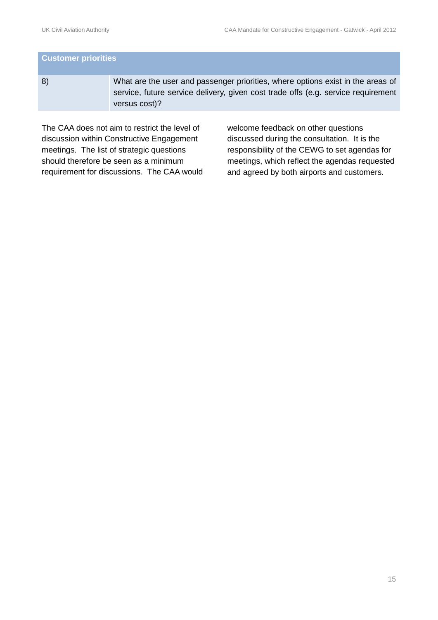# **Customer priorities** 8) What are the user and passenger priorities, where options exist in the areas of service, future service delivery, given cost trade offs (e.g. service requirement versus cost)?

The CAA does not aim to restrict the level of discussion within Constructive Engagement meetings. The list of strategic questions should therefore be seen as a minimum requirement for discussions. The CAA would welcome feedback on other questions discussed during the consultation. It is the responsibility of the CEWG to set agendas for meetings, which reflect the agendas requested and agreed by both airports and customers.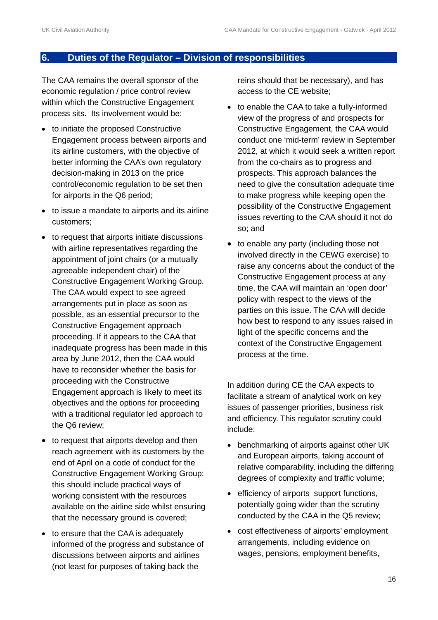#### **6. Duties of the Regulator – Division of responsibilities**

The CAA remains the overall sponsor of the economic regulation / price control review within which the Constructive Engagement process sits. Its involvement would be:

- to initiate the proposed Constructive Engagement process between airports and its airline customers, with the objective of better informing the CAA's own regulatory decision-making in 2013 on the price control/economic regulation to be set then for airports in the Q6 period;
- to issue a mandate to airports and its airline customers;
- to request that airports initiate discussions with airline representatives regarding the appointment of joint chairs (or a mutually agreeable independent chair) of the Constructive Engagement Working Group. The CAA would expect to see agreed arrangements put in place as soon as possible, as an essential precursor to the Constructive Engagement approach proceeding. If it appears to the CAA that inadequate progress has been made in this area by June 2012, then the CAA would have to reconsider whether the basis for proceeding with the Constructive Engagement approach is likely to meet its objectives and the options for proceeding with a traditional regulator led approach to the Q6 review;
- to request that airports develop and then reach agreement with its customers by the end of April on a code of conduct for the Constructive Engagement Working Group: this should include practical ways of working consistent with the resources available on the airline side whilst ensuring that the necessary ground is covered;
- to ensure that the CAA is adequately informed of the progress and substance of discussions between airports and airlines (not least for purposes of taking back the

reins should that be necessary), and has access to the CE website;

- to enable the CAA to take a fully-informed view of the progress of and prospects for Constructive Engagement, the CAA would conduct one 'mid-term' review in September 2012, at which it would seek a written report from the co-chairs as to progress and prospects. This approach balances the need to give the consultation adequate time to make progress while keeping open the possibility of the Constructive Engagement issues reverting to the CAA should it not do so; and
- to enable any party (including those not involved directly in the CEWG exercise) to raise any concerns about the conduct of the Constructive Engagement process at any time, the CAA will maintain an 'open door' policy with respect to the views of the parties on this issue. The CAA will decide how best to respond to any issues raised in light of the specific concerns and the context of the Constructive Engagement process at the time.

In addition during CE the CAA expects to facilitate a stream of analytical work on key issues of passenger priorities, business risk and efficiency. This regulator scrutiny could include:

- benchmarking of airports against other UK and European airports, taking account of relative comparability, including the differing degrees of complexity and traffic volume;
- efficiency of airports support functions, potentially going wider than the scrutiny conducted by the CAA in the Q5 review;
- cost effectiveness of airports' employment arrangements, including evidence on wages, pensions, employment benefits,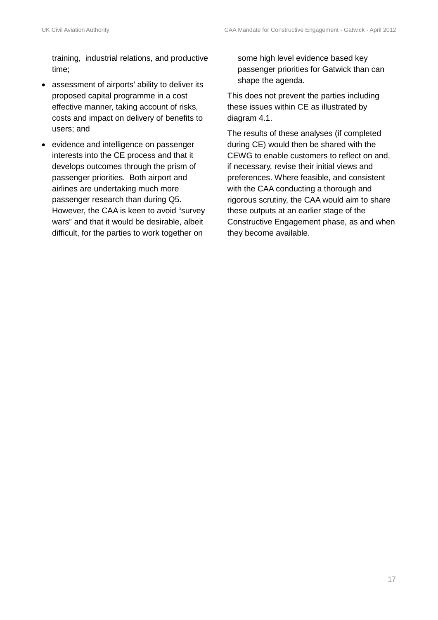training, industrial relations, and productive time;

- assessment of airports' ability to deliver its proposed capital programme in a cost effective manner, taking account of risks, costs and impact on delivery of benefits to users; and
- evidence and intelligence on passenger interests into the CE process and that it develops outcomes through the prism of passenger priorities. Both airport and airlines are undertaking much more passenger research than during Q5. However, the CAA is keen to avoid "survey wars" and that it would be desirable, albeit difficult, for the parties to work together on

some high level evidence based key passenger priorities for Gatwick than can shape the agenda.

This does not prevent the parties including these issues within CE as illustrated by diagram 4.1.

The results of these analyses (if completed during CE) would then be shared with the CEWG to enable customers to reflect on and, if necessary, revise their initial views and preferences. Where feasible, and consistent with the CAA conducting a thorough and rigorous scrutiny, the CAA would aim to share these outputs at an earlier stage of the Constructive Engagement phase, as and when they become available.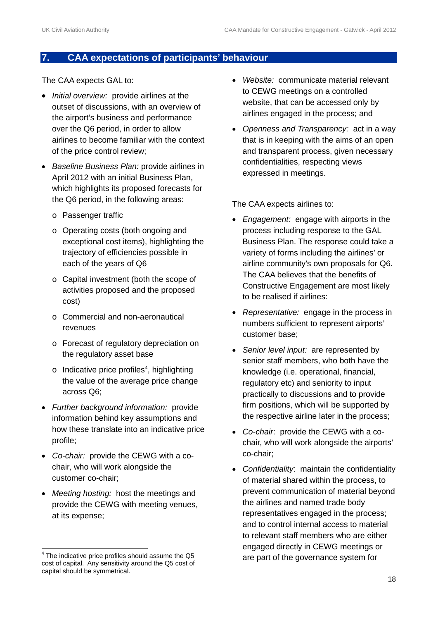#### **7. CAA expectations of participants' behaviour**

The CAA expects GAL to:

- *Initial overview:* provide airlines at the outset of discussions, with an overview of the airport's business and performance over the Q6 period, in order to allow airlines to become familiar with the context of the price control review;
- *Baseline Business Plan:* provide airlines in April 2012 with an initial Business Plan, which highlights its proposed forecasts for the Q6 period, in the following areas:
	- o Passenger traffic
	- o Operating costs (both ongoing and exceptional cost items), highlighting the trajectory of efficiencies possible in each of the years of Q6
	- o Capital investment (both the scope of activities proposed and the proposed cost)
	- o Commercial and non-aeronautical revenues
	- o Forecast of regulatory depreciation on the regulatory asset base
	- $\circ$  Indicative price profiles<sup>[4](#page-17-0)</sup>, highlighting the value of the average price change across Q6;
- *Further background information:* provide information behind key assumptions and how these translate into an indicative price profile;
- *Co-chair:* provide the CEWG with a cochair, who will work alongside the customer co-chair;
- *Meeting hosting:* host the meetings and provide the CEWG with meeting venues, at its expense;
- *Website:* communicate material relevant to CEWG meetings on a controlled website, that can be accessed only by airlines engaged in the process; and
- *Openness and Transparency:* act in a way that is in keeping with the aims of an open and transparent process, given necessary confidentialities, respecting views expressed in meetings.

The CAA expects airlines to:

- *Engagement:* engage with airports in the process including response to the GAL Business Plan. The response could take a variety of forms including the airlines' or airline community's own proposals for Q6. The CAA believes that the benefits of Constructive Engagement are most likely to be realised if airlines:
- *Representative:* engage in the process in numbers sufficient to represent airports' customer base;
- *Senior level input:* are represented by senior staff members, who both have the knowledge (i.e. operational, financial, regulatory etc) and seniority to input practically to discussions and to provide firm positions, which will be supported by the respective airline later in the process;
- *Co-chair*: provide the CEWG with a cochair, who will work alongside the airports' co-chair;
- *Confidentiality*: maintain the confidentiality of material shared within the process, to prevent communication of material beyond the airlines and named trade body representatives engaged in the process; and to control internal access to material to relevant staff members who are either engaged directly in CEWG meetings or are part of the governance system for

<span id="page-17-0"></span><sup>&</sup>lt;sup>4</sup> The indicative price profiles should assume the Q5 cost of capital. Any sensitivity around the Q5 cost of capital should be symmetrical.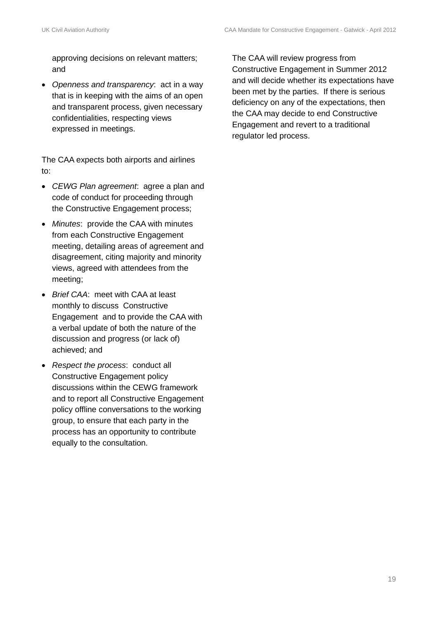approving decisions on relevant matters; and

• *Openness and transparency*: act in a way that is in keeping with the aims of an open and transparent process, given necessary confidentialities, respecting views expressed in meetings.

The CAA expects both airports and airlines to:

- *CEWG Plan agreement*: agree a plan and code of conduct for proceeding through the Constructive Engagement process;
- *Minutes*: provide the CAA with minutes from each Constructive Engagement meeting, detailing areas of agreement and disagreement, citing majority and minority views, agreed with attendees from the meeting;
- *Brief CAA*: meet with CAA at least monthly to discuss Constructive Engagement and to provide the CAA with a verbal update of both the nature of the discussion and progress (or lack of) achieved; and
- *Respect the process*: conduct all Constructive Engagement policy discussions within the CEWG framework and to report all Constructive Engagement policy offline conversations to the working group, to ensure that each party in the process has an opportunity to contribute equally to the consultation.

The CAA will review progress from Constructive Engagement in Summer 2012 and will decide whether its expectations have been met by the parties. If there is serious deficiency on any of the expectations, then the CAA may decide to end Constructive Engagement and revert to a traditional regulator led process.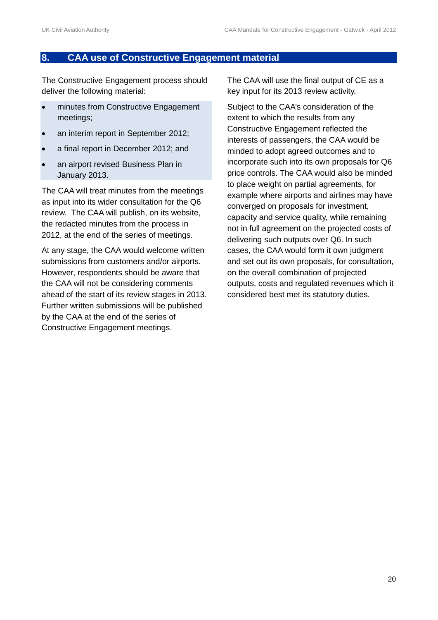#### **8. CAA use of Constructive Engagement material**

The Constructive Engagement process should deliver the following material:

- minutes from Constructive Engagement meetings;
- an interim report in September 2012;
- a final report in December 2012; and
- an airport revised Business Plan in January 2013.

The CAA will treat minutes from the meetings as input into its wider consultation for the Q6 review. The CAA will publish, on its website, the redacted minutes from the process in 2012, at the end of the series of meetings.

At any stage, the CAA would welcome written submissions from customers and/or airports. However, respondents should be aware that the CAA will not be considering comments ahead of the start of its review stages in 2013. Further written submissions will be published by the CAA at the end of the series of Constructive Engagement meetings.

The CAA will use the final output of CE as a key input for its 2013 review activity.

Subject to the CAA's consideration of the extent to which the results from any Constructive Engagement reflected the interests of passengers, the CAA would be minded to adopt agreed outcomes and to incorporate such into its own proposals for Q6 price controls. The CAA would also be minded to place weight on partial agreements, for example where airports and airlines may have converged on proposals for investment, capacity and service quality, while remaining not in full agreement on the projected costs of delivering such outputs over Q6. In such cases, the CAA would form it own judgment and set out its own proposals, for consultation, on the overall combination of projected outputs, costs and regulated revenues which it considered best met its statutory duties.